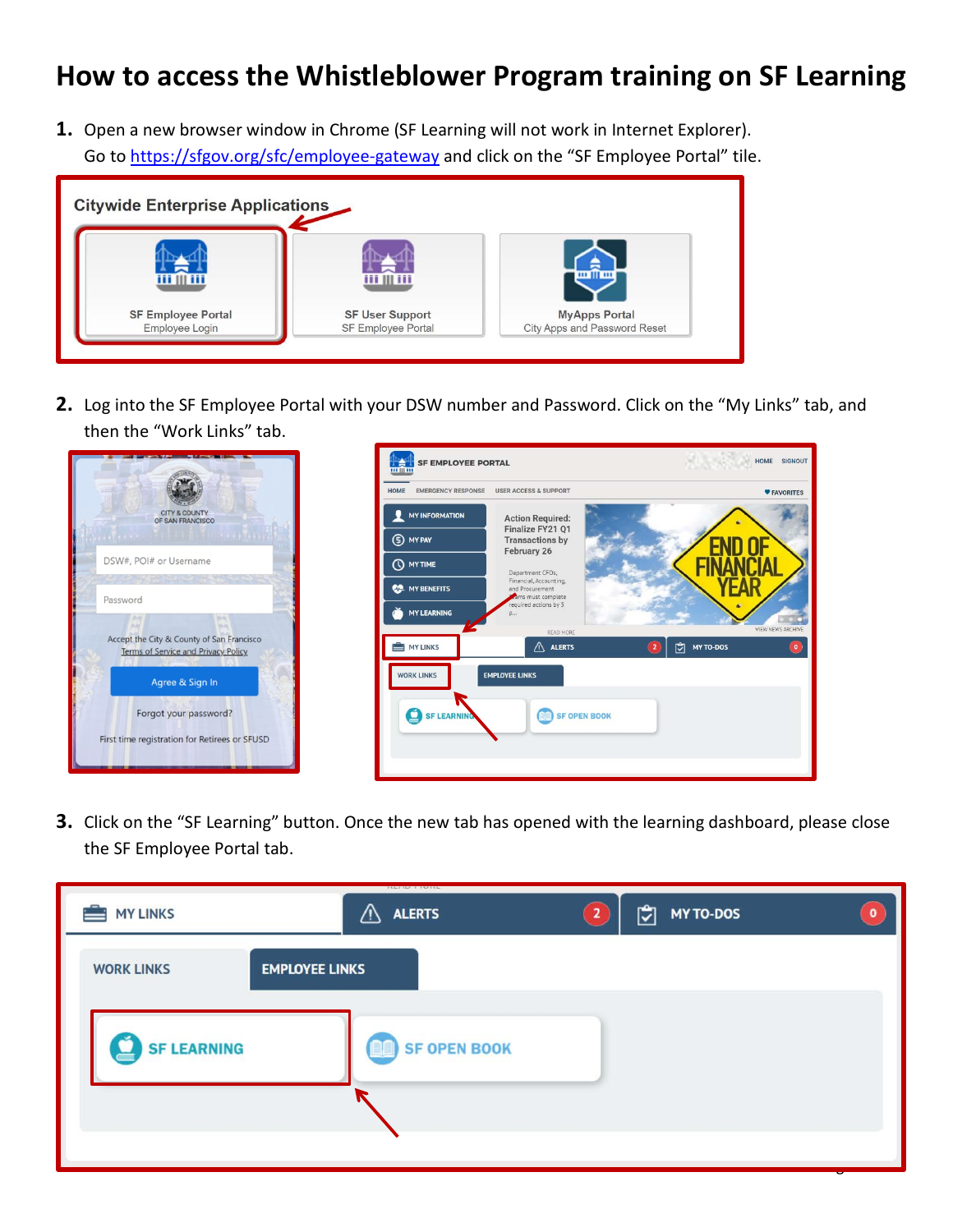## **How to access the Whistleblower Program training on SF Learning**

**1.** Open a new browser window in Chrome (SF Learning will not work in Internet Explorer). Go t[o https://sfgov.org/sfc/employee-gateway](https://sfgov.org/sfc/employee-gateway) and click on the "SF Employee Portal" tile.



**2.** Log into the SF Employee Portal with your DSW number and Password. Click on the "My Links" tab, and then the "Work Links" tab.





**3.** Click on the "SF Learning" button. Once the new tab has opened with the learning dashboard, please close the SF Employee Portal tab.

| <b>MY LINKS</b>    | 13 lot 14 14 14 14 14 14<br><b>ALERTS</b><br><u>/i\</u> | খে<br><b>MY TO-DOS</b><br>$\overline{2}$ | $\mathbf o$ |
|--------------------|---------------------------------------------------------|------------------------------------------|-------------|
| <b>WORK LINKS</b>  | <b>EMPLOYEE LINKS</b>                                   |                                          |             |
| <b>SF LEARNING</b> | <b>SF OPEN BOOK</b>                                     |                                          |             |
|                    |                                                         |                                          |             |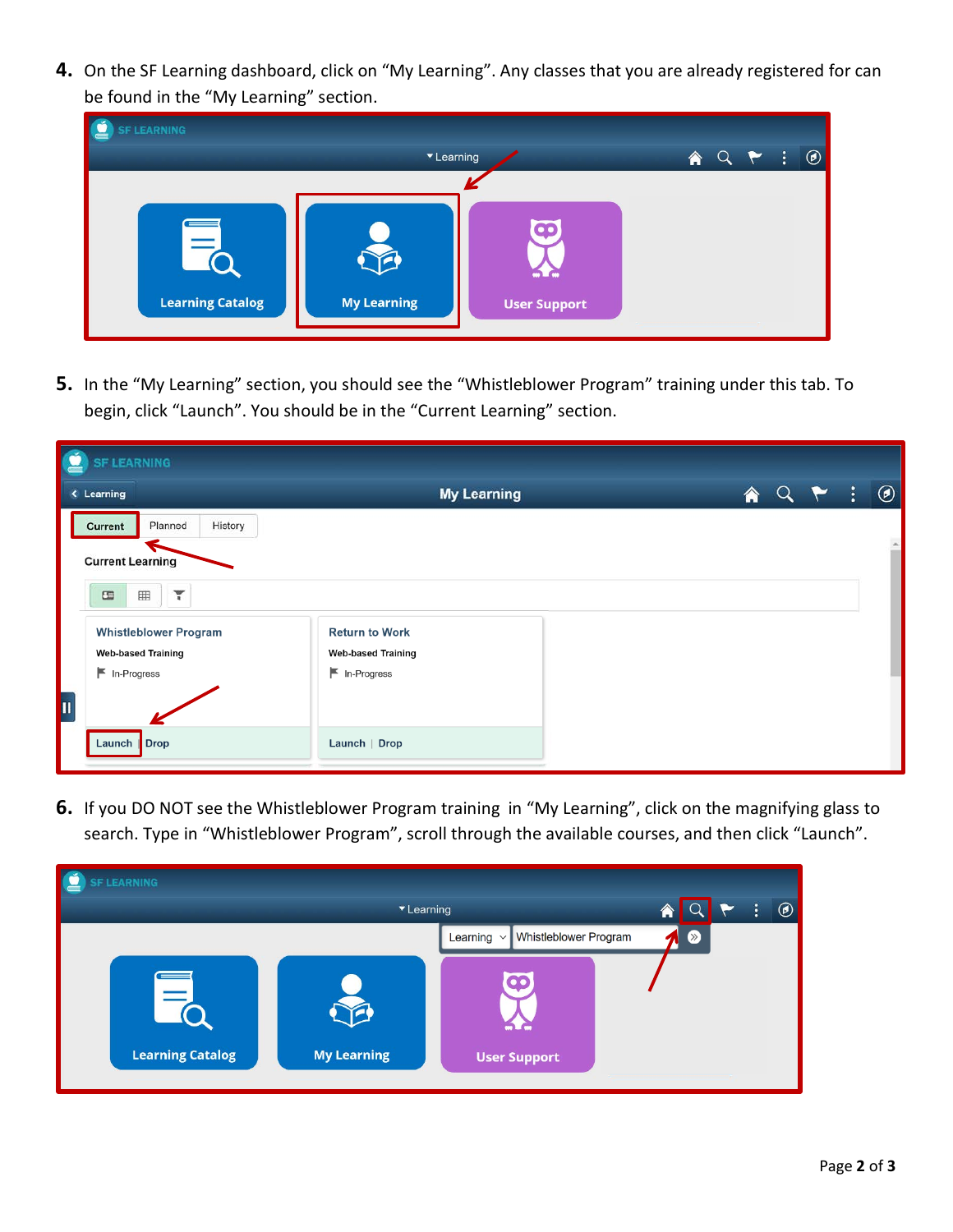**4.** On the SF Learning dashboard, click on "My Learning". Any classes that you are already registered for can be found in the "My Learning" section.



**5.** In the "My Learning" section, you should see the "Whistleblower Program" training under this tab. To begin, click "Launch". You should be in the "Current Learning" section.

| Ő<br><b>SF LEARNING</b>       |                                   |  |  |   |                |
|-------------------------------|-----------------------------------|--|--|---|----------------|
| <b>&lt; Learning</b>          | <b>My Learning</b>                |  |  | ፡ | $^{\circledR}$ |
| Planned<br>History<br>Current |                                   |  |  |   |                |
| <b>Current Learning</b>       |                                   |  |  |   |                |
| 囲<br>G<br>$\mathbb{F}$        |                                   |  |  |   |                |
| <b>Whistleblower Program</b>  | <b>Return to Work</b>             |  |  |   |                |
| <b>Web-based Training</b>     | <b>Web-based Training</b>         |  |  |   |                |
| $\blacksquare$ In-Progress    | $\blacktriangleright$ In-Progress |  |  |   |                |
| $\mathbf{u}$                  |                                   |  |  |   |                |
| Launch Drop                   | Launch   Drop                     |  |  |   |                |
|                               |                                   |  |  |   |                |

**6.** If you DO NOT see the Whistleblower Program training in "My Learning", click on the magnifying glass to search. Type in "Whistleblower Program", scroll through the available courses, and then click "Launch".

| K<br><b>SF LEARNING</b> |                    |                                          |   |                |  |   |
|-------------------------|--------------------|------------------------------------------|---|----------------|--|---|
| ▼ Learning              |                    |                                          | п |                |  | ◉ |
|                         |                    | Whistleblower Program<br>Learning $\sim$ |   | $\circledcirc$ |  |   |
| <b>Learning Catalog</b> | <b>My Learning</b> | $\bullet$<br><b>User Support</b>         |   |                |  |   |